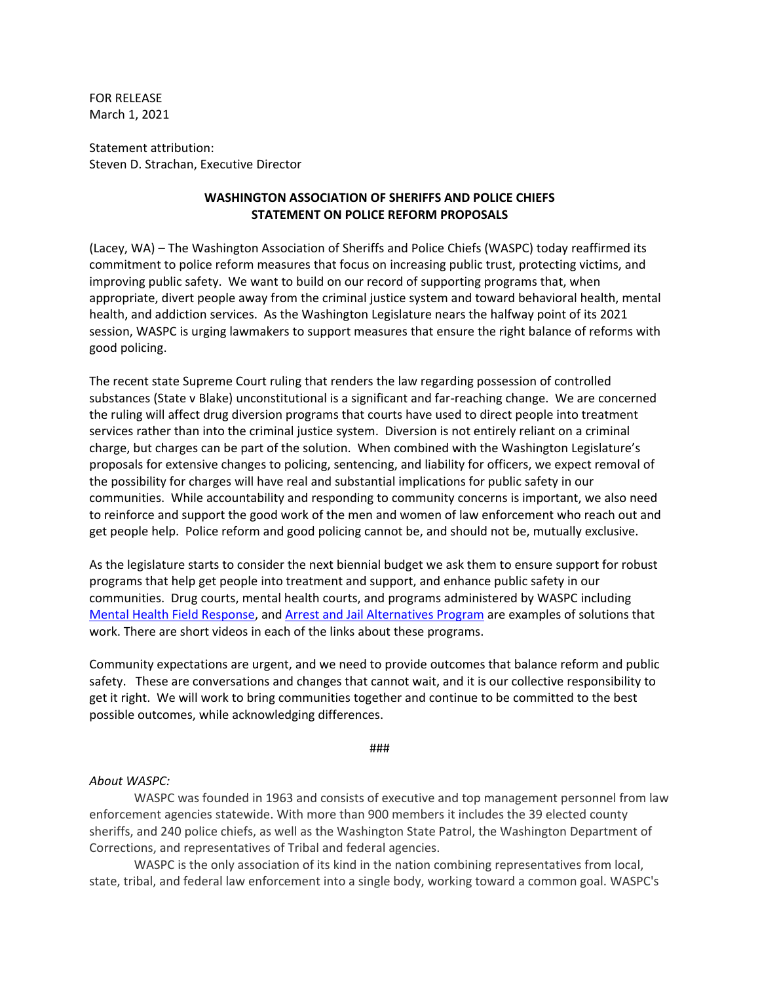FOR RELEASE March 1, 2021

Statement attribution: Steven D. Strachan, Executive Director

## **WASHINGTON ASSOCIATION OF SHERIFFS AND POLICE CHIEFS STATEMENT ON POLICE REFORM PROPOSALS**

(Lacey, WA) – The Washington Association of Sheriffs and Police Chiefs (WASPC) today reaffirmed its commitment to police reform measures that focus on increasing public trust, protecting victims, and improving public safety. We want to build on our record of supporting programs that, when appropriate, divert people away from the criminal justice system and toward behavioral health, mental health, and addiction services. As the Washington Legislature nears the halfway point of its 2021 session, WASPC is urging lawmakers to support measures that ensure the right balance of reforms with good policing.

The recent state Supreme Court ruling that renders the law regarding possession of controlled substances (State v Blake) unconstitutional is a significant and far-reaching change. We are concerned the ruling will affect drug diversion programs that courts have used to direct people into treatment services rather than into the criminal justice system. Diversion is not entirely reliant on a criminal charge, but charges can be part of the solution. When combined with the Washington Legislature's proposals for extensive changes to policing, sentencing, and liability for officers, we expect removal of the possibility for charges will have real and substantial implications for public safety in our communities. While accountability and responding to community concerns is important, we also need to reinforce and support the good work of the men and women of law enforcement who reach out and get people help. Police reform and good policing cannot be, and should not be, mutually exclusive.

As the legislature starts to consider the next biennial budget we ask them to ensure support for robust programs that help get people into treatment and support, and enhance public safety in our communities. Drug courts, mental health courts, and programs administered by WASPC including [Mental Health Field Response,](https://waspc.memberclicks.net/index.php?option=com_content&view=article&id=165:mental-health-field-response-teams-program&catid=20:site-content) and [Arrest and Jail Alternatives Program](https://waspc.memberclicks.net/index.php?option=com_content&view=article&id=198:arrest-and-jail-alternatives-law-enforcement-grant-program&catid=20:site-content&Itemid=277) are examples of solutions that work. There are short videos in each of the links about these programs.

Community expectations are urgent, and we need to provide outcomes that balance reform and public safety. These are conversations and changes that cannot wait, and it is our collective responsibility to get it right. We will work to bring communities together and continue to be committed to the best possible outcomes, while acknowledging differences.

###

## *About WASPC:*

WASPC was founded in 1963 and consists of executive and top management personnel from law enforcement agencies statewide. With more than 900 members it includes the 39 elected county sheriffs, and 240 police chiefs, as well as the Washington State Patrol, the Washington Department of Corrections, and representatives of Tribal and federal agencies.

WASPC is the only association of its kind in the nation combining representatives from local, state, tribal, and federal law enforcement into a single body, working toward a common goal. WASPC's